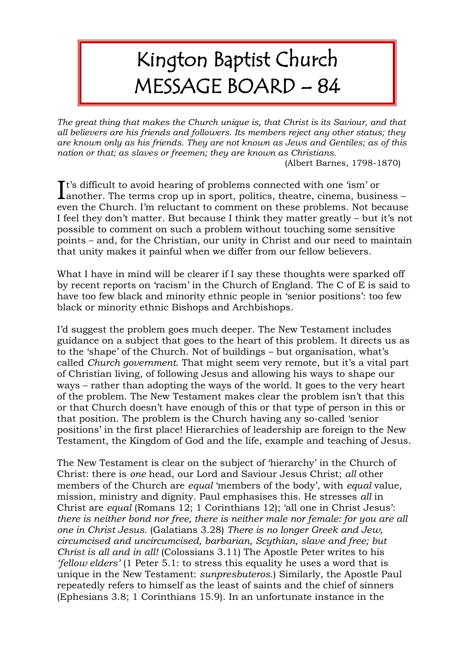## Kington Baptist Church MESSAGE BOARD – 84

*The great thing that makes the Church unique is, that Christ is its Saviour, and that all believers are his friends and followers. Its members reject any other status; they are known only as his friends. They are not known as Jews and Gentiles; as of this nation or that; as slaves or freemen; they are known as Christians.* 

(Albert Barnes, 1798-1870)

It's difficult to avoid hearing of problems connected with one 'ism' or another. The terms crop up in sport, politics, theatre, cinema, busing **L**another. The terms crop up in sport, politics, theatre, cinema, business – even the Church. I'm reluctant to comment on these problems. Not because I feel they don't matter. But because I think they matter greatly – but it's not possible to comment on such a problem without touching some sensitive points – and, for the Christian, our unity in Christ and our need to maintain that unity makes it painful when we differ from our fellow believers.

What I have in mind will be clearer if I say these thoughts were sparked off by recent reports on 'racism' in the Church of England. The C of E is said to have too few black and minority ethnic people in 'senior positions': too few black or minority ethnic Bishops and Archbishops.

I'd suggest the problem goes much deeper. The New Testament includes guidance on a subject that goes to the heart of this problem. It directs us as to the 'shape' of the Church. Not of buildings – but organisation, what's called *Church government*. That might seem very remote, but it's a vital part of Christian living, of following Jesus and allowing his ways to shape our ways – rather than adopting the ways of the world. It goes to the very heart of the problem. The New Testament makes clear the problem isn't that this or that Church doesn't have enough of this or that type of person in this or that position. The problem is the Church having any so-called 'senior positions' in the first place! Hierarchies of leadership are foreign to the New Testament, the Kingdom of God and the life, example and teaching of Jesus.

The New Testament is clear on the subject of 'hierarchy' in the Church of Christ: there is *one* head, our Lord and Saviour Jesus Christ; *all* other members of the Church are *equal* 'members of the body', with *equal* value, mission, ministry and dignity. Paul emphasises this. He stresses *all* in Christ are *equal* (Romans 12; 1 Corinthians 12); 'all one in Christ Jesus': *there is neither bond nor free, there is neither male nor female: for you are all one in Christ Jesus.* (Galatians 3.28) *There is no longer Greek and Jew, circumcised and uncircumcised, barbarian, Scythian, slave and free; but Christ is all and in all!* (Colossians 3.11) The Apostle Peter writes to his *'fellow elders'* (1 Peter 5.1: to stress this equality he uses a word that is unique in the New Testament: *sunpresbuteros*.) Similarly, the Apostle Paul repeatedly refers to himself as the least of saints and the chief of sinners (Ephesians 3.8; 1 Corinthians 15.9). In an unfortunate instance in the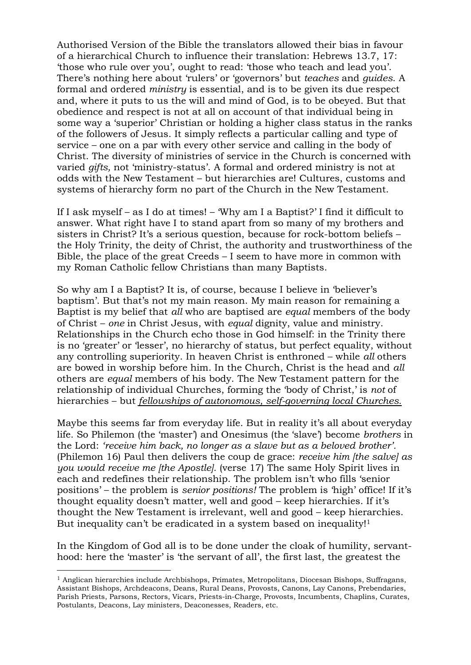Authorised Version of the Bible the translators allowed their bias in favour of a hierarchical Church to influence their translation: Hebrews 13.7, 17: 'those who rule over you', ought to read: 'those who teach and lead you'. There's nothing here about 'rulers' or 'governors' but *teaches* and *guides*. A formal and ordered *ministry* is essential, and is to be given its due respect and, where it puts to us the will and mind of God, is to be obeyed. But that obedience and respect is not at all on account of that individual being in some way a 'superior' Christian or holding a higher class status in the ranks of the followers of Jesus. It simply reflects a particular calling and type of service – one on a par with every other service and calling in the body of Christ. The diversity of ministries of service in the Church is concerned with varied *gifts,* not 'ministry-status'. A formal and ordered ministry is not at odds with the New Testament – but hierarchies are! Cultures, customs and systems of hierarchy form no part of the Church in the New Testament.

If I ask myself – as I do at times! – 'Why am I a Baptist?' I find it difficult to answer. What right have I to stand apart from so many of my brothers and sisters in Christ? It's a serious question, because for rock-bottom beliefs – the Holy Trinity, the deity of Christ, the authority and trustworthiness of the Bible, the place of the great Creeds – I seem to have more in common with my Roman Catholic fellow Christians than many Baptists.

So why am I a Baptist? It is, of course, because I believe in 'believer's baptism'. But that's not my main reason. My main reason for remaining a Baptist is my belief that *all* who are baptised are *equal* members of the body of Christ – *one* in Christ Jesus, with *equal* dignity, value and ministry. Relationships in the Church echo those in God himself: in the Trinity there is no 'greater' or 'lesser', no hierarchy of status, but perfect equality, without any controlling superiority. In heaven Christ is enthroned – while *all* others are bowed in worship before him. In the Church, Christ is the head and *all* others are *equal* members of his body. The New Testament pattern for the relationship of individual Churches, forming the 'body of Christ,' is *not* of hierarchies – but *fellowships of autonomous, self-governing local Churches.*

Maybe this seems far from everyday life. But in reality it's all about everyday life. So Philemon (the 'master') and Onesimus (the 'slave') become *brothers* in the Lord: *'receive him back, no longer as a slave but as a beloved brother'.* (Philemon 16) Paul then delivers the coup de grace: *receive him [the salve] as you would receive me [the Apostle].* (verse 17) The same Holy Spirit lives in each and redefines their relationship. The problem isn't who fills 'senior positions' – the problem is *senior positions!* The problem is 'high' office! If it's thought equality doesn't matter, well and good – keep hierarchies. If it's thought the New Testament is irrelevant, well and good – keep hierarchies. But inequality can't be eradicated in a system based on inequality!<sup>1</sup>

In the Kingdom of God all is to be done under the cloak of humility, servanthood: here the 'master' is 'the servant of all', the first last, the greatest the

-

 $<sup>1</sup>$  Anglican hierarchies include Archbishops, Primates, Metropolitans, Diocesan Bishops, Suffragans,</sup> Assistant Bishops, Archdeacons, Deans, Rural Deans, Provosts, Canons, Lay Canons, Prebendaries, Parish Priests, Parsons, Rectors, Vicars, Priests-in-Charge, Provosts, Incumbents, Chaplins, Curates, Postulants, Deacons, Lay ministers, Deaconesses, Readers, etc.